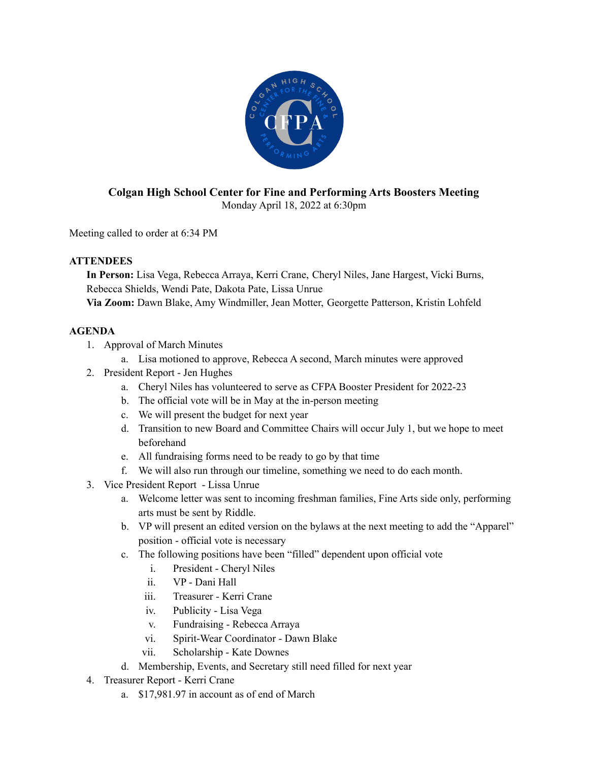

## **Colgan High School Center for Fine and Performing Arts Boosters Meeting** Monday April 18, 2022 at 6:30pm

Meeting called to order at 6:34 PM

## **ATTENDEES**

**In Person:** Lisa Vega, Rebecca Arraya, Kerri Crane, Cheryl Niles, Jane Hargest, Vicki Burns, Rebecca Shields, Wendi Pate, Dakota Pate, Lissa Unrue

**Via Zoom:** Dawn Blake, Amy Windmiller, Jean Motter, Georgette Patterson, Kristin Lohfeld

## **AGENDA**

- 1. Approval of March Minutes
	- a. Lisa motioned to approve, Rebecca A second, March minutes were approved
- 2. President Report Jen Hughes
	- a. Cheryl Niles has volunteered to serve as CFPA Booster President for 2022-23
	- b. The official vote will be in May at the in-person meeting
	- c. We will present the budget for next year
	- d. Transition to new Board and Committee Chairs will occur July 1, but we hope to meet beforehand
	- e. All fundraising forms need to be ready to go by that time
	- f. We will also run through our timeline, something we need to do each month.
- 3. Vice President Report Lissa Unrue
	- a. Welcome letter was sent to incoming freshman families, Fine Arts side only, performing arts must be sent by Riddle.
	- b. VP will present an edited version on the bylaws at the next meeting to add the "Apparel" position - official vote is necessary
	- c. The following positions have been "filled" dependent upon official vote
		- i. President Cheryl Niles
		- ii. VP Dani Hall
		- iii. Treasurer Kerri Crane
		- iv. Publicity Lisa Vega
		- v. Fundraising Rebecca Arraya
		- vi. Spirit-Wear Coordinator Dawn Blake
		- vii. Scholarship Kate Downes
	- d. Membership, Events, and Secretary still need filled for next year
- 4. Treasurer Report Kerri Crane
	- a. \$17,981.97 in account as of end of March